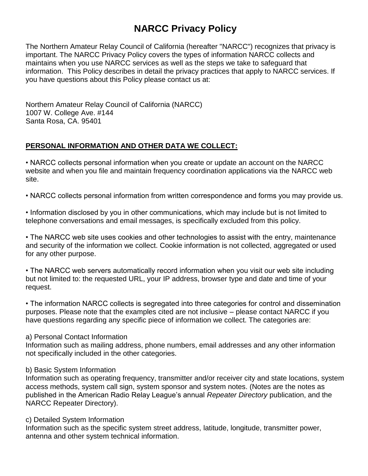# **NARCC Privacy Policy**

The Northern Amateur Relay Council of California (hereafter "NARCC") recognizes that privacy is important. The NARCC Privacy Policy covers the types of information NARCC collects and maintains when you use NARCC services as well as the steps we take to safeguard that information. This Policy describes in detail the privacy practices that apply to NARCC services. If you have questions about this Policy please contact us at:

Northern Amateur Relay Council of California (NARCC) 1007 W. College Ave. #144 Santa Rosa, CA. 95401

## **PERSONAL INFORMATION AND OTHER DATA WE COLLECT:**

• NARCC collects personal information when you create or update an account on the NARCC website and when you file and maintain frequency coordination applications via the NARCC web site.

• NARCC collects personal information from written correspondence and forms you may provide us.

• Information disclosed by you in other communications, which may include but is not limited to telephone conversations and email messages, is specifically excluded from this policy.

• The NARCC web site uses cookies and other technologies to assist with the entry, maintenance and security of the information we collect. Cookie information is not collected, aggregated or used for any other purpose.

• The NARCC web servers automatically record information when you visit our web site including but not limited to: the requested URL, your IP address, browser type and date and time of your request.

• The information NARCC collects is segregated into three categories for control and dissemination purposes. Please note that the examples cited are not inclusive – please contact NARCC if you have questions regarding any specific piece of information we collect. The categories are:

#### a) Personal Contact Information

Information such as mailing address, phone numbers, email addresses and any other information not specifically included in the other categories.

#### b) Basic System Information

Information such as operating frequency, transmitter and/or receiver city and state locations, system access methods, system call sign, system sponsor and system notes. (Notes are the notes as published in the American Radio Relay League's annual *Repeater Directory* publication, and the NARCC Repeater Directory).

#### c) Detailed System Information

Information such as the specific system street address, latitude, longitude, transmitter power, antenna and other system technical information.